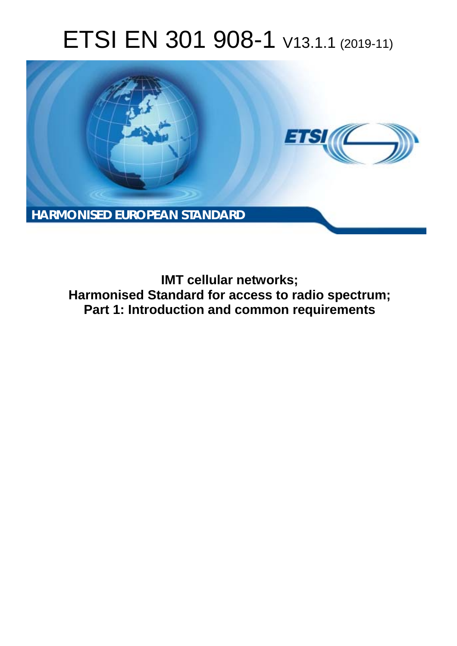# ETSI EN 301 908-1 V13.1.1 (2019-11)



**IMT cellular networks; Harmonised Standard for access to radio spectrum; Part 1: Introduction and common requirements**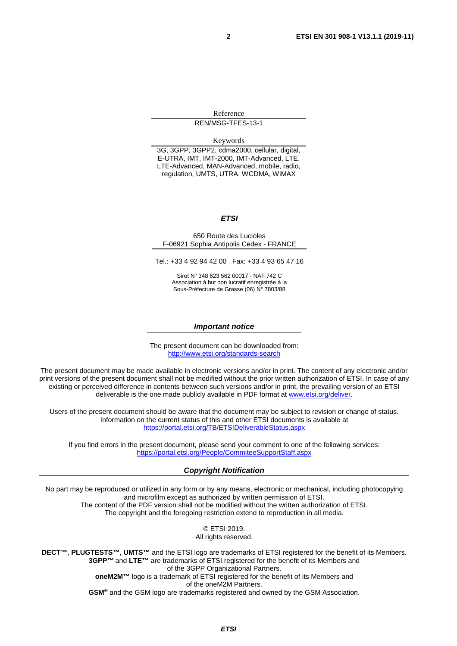Reference REN/MSG-TFES-13-1

Keywords

3G, 3GPP, 3GPP2, cdma2000, cellular, digital, E-UTRA, IMT, IMT-2000, IMT-Advanced, LTE, LTE-Advanced, MAN-Advanced, mobile, radio, regulation, UMTS, UTRA, WCDMA, WiMAX

#### *ETSI*

650 Route des Lucioles F-06921 Sophia Antipolis Cedex - FRANCE

Tel.: +33 4 92 94 42 00 Fax: +33 4 93 65 47 16

Siret N° 348 623 562 00017 - NAF 742 C Association à but non lucratif enregistrée à la Sous-Préfecture de Grasse (06) N° 7803/88

#### *Important notice*

The present document can be downloaded from: <http://www.etsi.org/standards-search>

The present document may be made available in electronic versions and/or in print. The content of any electronic and/or print versions of the present document shall not be modified without the prior written authorization of ETSI. In case of any existing or perceived difference in contents between such versions and/or in print, the prevailing version of an ETSI deliverable is the one made publicly available in PDF format at [www.etsi.org/deliver](http://www.etsi.org/deliver).

Users of the present document should be aware that the document may be subject to revision or change of status. Information on the current status of this and other ETSI documents is available at <https://portal.etsi.org/TB/ETSIDeliverableStatus.aspx>

If you find errors in the present document, please send your comment to one of the following services: <https://portal.etsi.org/People/CommiteeSupportStaff.aspx>

#### *Copyright Notification*

No part may be reproduced or utilized in any form or by any means, electronic or mechanical, including photocopying and microfilm except as authorized by written permission of ETSI. The content of the PDF version shall not be modified without the written authorization of ETSI. The copyright and the foregoing restriction extend to reproduction in all media.

> © ETSI 2019. All rights reserved.

**DECT™**, **PLUGTESTS™**, **UMTS™** and the ETSI logo are trademarks of ETSI registered for the benefit of its Members. **3GPP™** and **LTE™** are trademarks of ETSI registered for the benefit of its Members and of the 3GPP Organizational Partners. **oneM2M™** logo is a trademark of ETSI registered for the benefit of its Members and of the oneM2M Partners. **GSM®** and the GSM logo are trademarks registered and owned by the GSM Association.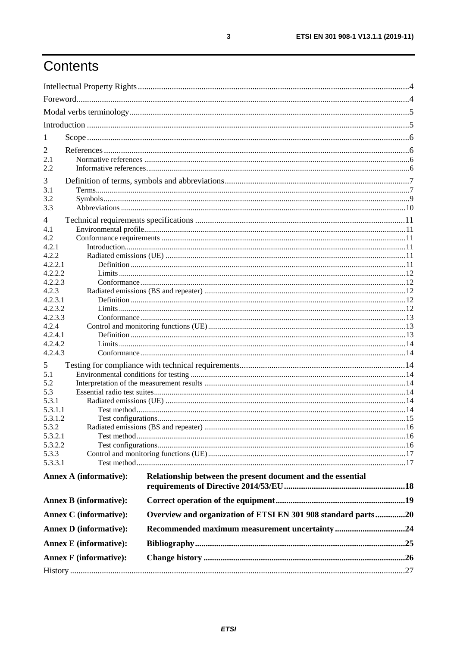# Contents

| 1                                                                                              |  |
|------------------------------------------------------------------------------------------------|--|
|                                                                                                |  |
| 2<br>2.1                                                                                       |  |
| 2.2                                                                                            |  |
|                                                                                                |  |
| 3<br>3.1                                                                                       |  |
| 3.2                                                                                            |  |
| 3.3                                                                                            |  |
| 4                                                                                              |  |
| 4.1                                                                                            |  |
| 4.2                                                                                            |  |
| 4.2.1                                                                                          |  |
| 4.2.2                                                                                          |  |
| 4.2.2.1                                                                                        |  |
| 4.2.2.2<br>4.2.2.3                                                                             |  |
| 4.2.3                                                                                          |  |
| 4.2.3.1                                                                                        |  |
| 4.2.3.2                                                                                        |  |
| 4.2.3.3                                                                                        |  |
| 4.2.4                                                                                          |  |
| 4.2.4.1                                                                                        |  |
| 4.2.4.2<br>4.2.4.3                                                                             |  |
|                                                                                                |  |
| 5                                                                                              |  |
| 5.1<br>5.2                                                                                     |  |
| 5.3                                                                                            |  |
| 5.3.1                                                                                          |  |
| 5.3.1.1                                                                                        |  |
| 5.3.1.2                                                                                        |  |
| 5.3.2                                                                                          |  |
| 5.3.2.1                                                                                        |  |
| 5.3.2.2<br>5.3.3                                                                               |  |
| 5.3.3.1                                                                                        |  |
|                                                                                                |  |
| Relationship between the present document and the essential<br><b>Annex A (informative):</b>   |  |
|                                                                                                |  |
| <b>Annex B</b> (informative):                                                                  |  |
| Overview and organization of ETSI EN 301 908 standard parts20<br><b>Annex C</b> (informative): |  |
| <b>Annex D</b> (informative):                                                                  |  |
| <b>Annex E</b> (informative):                                                                  |  |
| <b>Annex F</b> (informative):                                                                  |  |
|                                                                                                |  |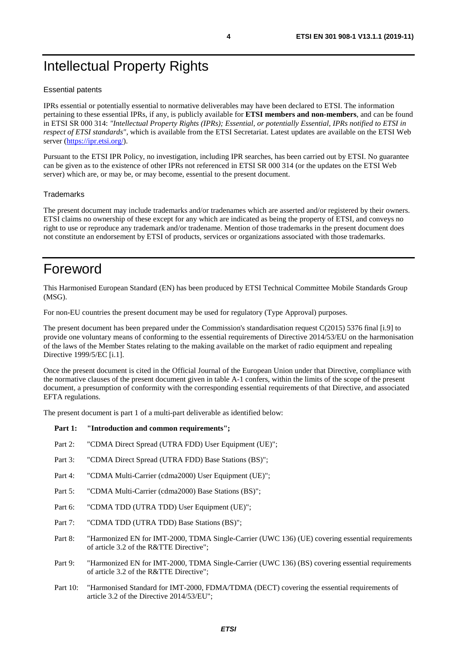# <span id="page-3-0"></span>Intellectual Property Rights

#### Essential patents

IPRs essential or potentially essential to normative deliverables may have been declared to ETSI. The information pertaining to these essential IPRs, if any, is publicly available for **ETSI members and non-members**, and can be found in ETSI SR 000 314: *"Intellectual Property Rights (IPRs); Essential, or potentially Essential, IPRs notified to ETSI in respect of ETSI standards"*, which is available from the ETSI Secretariat. Latest updates are available on the ETSI Web server (<https://ipr.etsi.org/>).

Pursuant to the ETSI IPR Policy, no investigation, including IPR searches, has been carried out by ETSI. No guarantee can be given as to the existence of other IPRs not referenced in ETSI SR 000 314 (or the updates on the ETSI Web server) which are, or may be, or may become, essential to the present document.

#### **Trademarks**

The present document may include trademarks and/or tradenames which are asserted and/or registered by their owners. ETSI claims no ownership of these except for any which are indicated as being the property of ETSI, and conveys no right to use or reproduce any trademark and/or tradename. Mention of those trademarks in the present document does not constitute an endorsement by ETSI of products, services or organizations associated with those trademarks.

### Foreword

This Harmonised European Standard (EN) has been produced by ETSI Technical Committee Mobile Standards Group (MSG).

For non-EU countries the present document may be used for regulatory (Type Approval) purposes.

The present document has been prepared under the Commission's standardisation request C(2015) 5376 final [\[i.9\]](#page-6-0) to provide one voluntary means of conforming to the essential requirements of Directive 2014/53/EU on the harmonisation of the laws of the Member States relating to the making available on the market of radio equipment and repealing Directive 1999/5/EC [\[i.1](#page-6-0)].

Once the present document is cited in the Official Journal of the European Union under that Directive, compliance with the normative clauses of the present document given in table A-1 confers, within the limits of the scope of the present document, a presumption of conformity with the corresponding essential requirements of that Directive, and associated EFTA regulations.

The present document is part 1 of a multi-part deliverable as identified below:

#### Part 1: "Introduction and common requirements";

- Part 2: "CDMA Direct Spread (UTRA FDD) User Equipment (UE)";
- Part 3: "CDMA Direct Spread (UTRA FDD) Base Stations (BS)";
- Part 4: "CDMA Multi-Carrier (cdma2000) User Equipment (UE)";
- Part 5: "CDMA Multi-Carrier (cdma2000) Base Stations (BS)";
- Part 6: "CDMA TDD (UTRA TDD) User Equipment (UE)";
- Part 7: "CDMA TDD (UTRA TDD) Base Stations (BS)";
- Part 8: "Harmonized EN for IMT-2000, TDMA Single-Carrier (UWC 136) (UE) covering essential requirements of article 3.2 of the R&TTE Directive";
- Part 9: "Harmonized EN for IMT-2000, TDMA Single-Carrier (UWC 136) (BS) covering essential requirements of article 3.2 of the R&TTE Directive";
- Part 10: "Harmonised Standard for IMT-2000, FDMA/TDMA (DECT) covering the essential requirements of article 3.2 of the Directive 2014/53/EU";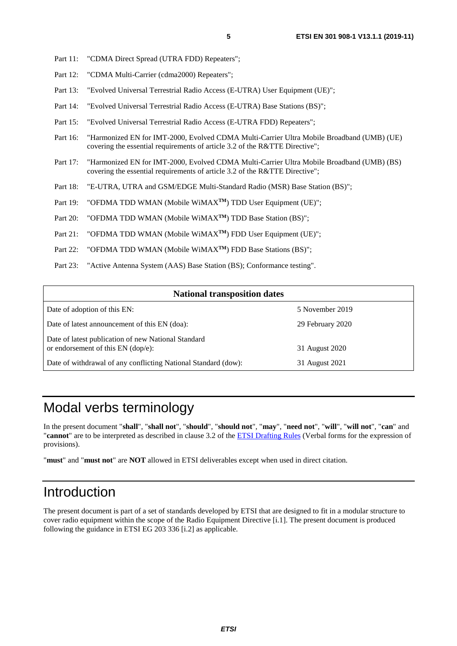- <span id="page-4-0"></span>Part 11: "CDMA Direct Spread (UTRA FDD) Repeaters";
- Part 12: "CDMA Multi-Carrier (cdma2000) Repeaters";
- Part 13: "Evolved Universal Terrestrial Radio Access (E-UTRA) User Equipment (UE)";
- Part 14: "Evolved Universal Terrestrial Radio Access (E-UTRA) Base Stations (BS)";
- Part 15: "Evolved Universal Terrestrial Radio Access (E-UTRA FDD) Repeaters";
- Part 16: "Harmonized EN for IMT-2000, Evolved CDMA Multi-Carrier Ultra Mobile Broadband (UMB) (UE) covering the essential requirements of article 3.2 of the R&TTE Directive";
- Part 17: "Harmonized EN for IMT-2000, Evolved CDMA Multi-Carrier Ultra Mobile Broadband (UMB) (BS) covering the essential requirements of article 3.2 of the R&TTE Directive";
- Part 18: "E-UTRA, UTRA and GSM/EDGE Multi-Standard Radio (MSR) Base Station (BS)";
- Part 19: "OFDMA TDD WMAN (Mobile WiMAX<sup>TM</sup>) TDD User Equipment (UE)";
- Part 20: "OFDMA TDD WMAN (Mobile WiMAX<sup>TM</sup>) TDD Base Station (BS)";
- Part 21: "OFDMA TDD WMAN (Mobile WiMAX<sup>TM</sup>) FDD User Equipment (UE)";
- Part 22: "OFDMA TDD WMAN (Mobile WiMAX<sup>TM</sup>) FDD Base Stations (BS)":
- Part 23: "Active Antenna System (AAS) Base Station (BS); Conformance testing".

| <b>National transposition dates</b>                                                       |                  |  |  |
|-------------------------------------------------------------------------------------------|------------------|--|--|
| Date of adoption of this EN:                                                              | 5 November 2019  |  |  |
| Date of latest announcement of this EN (doa):                                             | 29 February 2020 |  |  |
| Date of latest publication of new National Standard<br>or endorsement of this EN (dop/e): | 31 August 2020   |  |  |
| Date of withdrawal of any conflicting National Standard (dow):                            | 31 August 2021   |  |  |

### Modal verbs terminology

In the present document "**shall**", "**shall not**", "**should**", "**should not**", "**may**", "**need not**", "**will**", "**will not**", "**can**" and "**cannot**" are to be interpreted as described in clause 3.2 of the [ETSI Drafting Rules](https://portal.etsi.org/Services/editHelp!/Howtostart/ETSIDraftingRules.aspx) (Verbal forms for the expression of provisions).

"**must**" and "**must not**" are **NOT** allowed in ETSI deliverables except when used in direct citation.

### Introduction

The present document is part of a set of standards developed by ETSI that are designed to fit in a modular structure to cover radio equipment within the scope of the Radio Equipment Directive [\[i.1\]](#page-6-0). The present document is produced following the guidance in ETSI EG 203 336 [\[i.2](#page-6-0)] as applicable.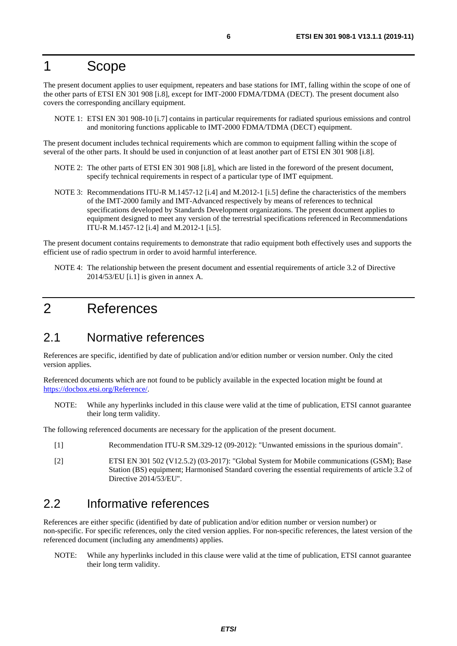### <span id="page-5-0"></span>1 Scope

The present document applies to user equipment, repeaters and base stations for IMT, falling within the scope of one of the other parts of ETSI EN 301 908 [[i.8](#page-6-0)], except for IMT-2000 FDMA/TDMA (DECT). The present document also covers the corresponding ancillary equipment.

NOTE 1: ETSI EN 301 908-10 [\[i.7\]](#page-6-0) contains in particular requirements for radiated spurious emissions and control and monitoring functions applicable to IMT-2000 FDMA/TDMA (DECT) equipment.

The present document includes technical requirements which are common to equipment falling within the scope of several of the other parts. It should be used in conjunction of at least another part of ETSI EN 301 908 [[i.8\]](#page-6-0).

- NOTE 2: The other parts of ETSI EN 301 908 [\[i.8](#page-6-0)], which are listed in the foreword of the present document, specify technical requirements in respect of a particular type of IMT equipment.
- NOTE 3: Recommendations ITU-R M.1457-12 [\[i.4](#page-6-0)] and M.2012-1 [\[i.5\]](#page-6-0) define the characteristics of the members of the IMT-2000 family and IMT-Advanced respectively by means of references to technical specifications developed by Standards Development organizations. The present document applies to equipment designed to meet any version of the terrestrial specifications referenced in Recommendations ITU-R M.1457-12 [\[i.4](#page-6-0)] and M.2012-1 [\[i.5](#page-6-0)].

The present document contains requirements to demonstrate that radio equipment both effectively uses and supports the efficient use of radio spectrum in order to avoid harmful interference.

NOTE 4: The relationship between the present document and essential requirements of article 3.2 of Directive 2014/53/EU [\[i.1](#page-6-0)] is given in annex A.

### 2 References

### 2.1 Normative references

References are specific, identified by date of publication and/or edition number or version number. Only the cited version applies.

Referenced documents which are not found to be publicly available in the expected location might be found at <https://docbox.etsi.org/Reference/>.

NOTE: While any hyperlinks included in this clause were valid at the time of publication, ETSI cannot guarantee their long term validity.

The following referenced documents are necessary for the application of the present document.

- [1] Recommendation ITU-R SM.329-12 (09-2012): "Unwanted emissions in the spurious domain".
- [2] ETSI EN 301 502 (V12.5.2) (03-2017): "Global System for Mobile communications (GSM); Base Station (BS) equipment; Harmonised Standard covering the essential requirements of article 3.2 of Directive 2014/53/EU".

### 2.2 Informative references

References are either specific (identified by date of publication and/or edition number or version number) or non-specific. For specific references, only the cited version applies. For non-specific references, the latest version of the referenced document (including any amendments) applies.

NOTE: While any hyperlinks included in this clause were valid at the time of publication, ETSI cannot guarantee their long term validity.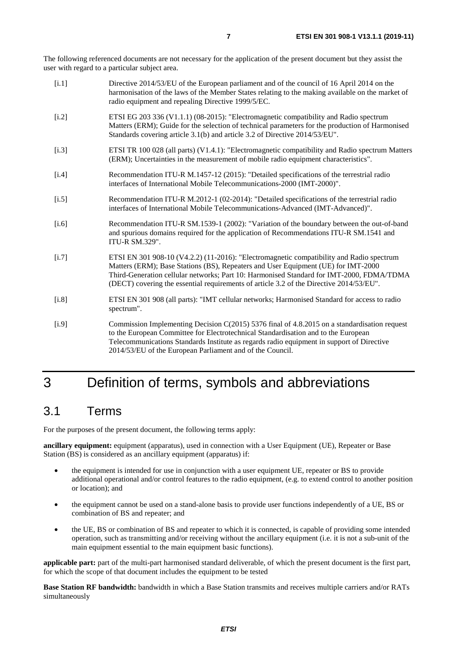<span id="page-6-0"></span>The following referenced documents are not necessary for the application of the present document but they assist the user with regard to a particular subject area.

| [i.1]   | Directive 2014/53/EU of the European parliament and of the council of 16 April 2014 on the<br>harmonisation of the laws of the Member States relating to the making available on the market of<br>radio equipment and repealing Directive 1999/5/EC.                                                                                                                 |
|---------|----------------------------------------------------------------------------------------------------------------------------------------------------------------------------------------------------------------------------------------------------------------------------------------------------------------------------------------------------------------------|
| [i.2]   | ETSI EG 203 336 (V1.1.1) (08-2015): "Electromagnetic compatibility and Radio spectrum<br>Matters (ERM); Guide for the selection of technical parameters for the production of Harmonised<br>Standards covering article 3.1(b) and article 3.2 of Directive 2014/53/EU".                                                                                              |
| [i.3]   | ETSI TR 100 028 (all parts) (V1.4.1): "Electromagnetic compatibility and Radio spectrum Matters<br>(ERM); Uncertainties in the measurement of mobile radio equipment characteristics".                                                                                                                                                                               |
| [i.4]   | Recommendation ITU-R M.1457-12 (2015): "Detailed specifications of the terrestrial radio<br>interfaces of International Mobile Telecommunications-2000 (IMT-2000)".                                                                                                                                                                                                  |
| [i.5]   | Recommendation ITU-R M.2012-1 (02-2014): "Detailed specifications of the terrestrial radio<br>interfaces of International Mobile Telecommunications-Advanced (IMT-Advanced)".                                                                                                                                                                                        |
| [i.6]   | Recommendation ITU-R SM.1539-1 (2002): "Variation of the boundary between the out-of-band<br>and spurious domains required for the application of Recommendations ITU-R SM.1541 and<br><b>ITU-R SM.329".</b>                                                                                                                                                         |
| [i.7]   | ETSI EN 301 908-10 (V4.2.2) (11-2016): "Electromagnetic compatibility and Radio spectrum<br>Matters (ERM); Base Stations (BS), Repeaters and User Equipment (UE) for IMT-2000<br>Third-Generation cellular networks; Part 10: Harmonised Standard for IMT-2000, FDMA/TDMA<br>(DECT) covering the essential requirements of article 3.2 of the Directive 2014/53/EU". |
| $[1.8]$ | ETSI EN 301 908 (all parts): "IMT cellular networks; Harmonised Standard for access to radio<br>spectrum".                                                                                                                                                                                                                                                           |
| [i.9]   | Commission Implementing Decision C(2015) 5376 final of 4.8.2015 on a standardisation request<br>to the European Committee for Electrotechnical Standardisation and to the European<br>Telecommunications Standards Institute as regards radio equipment in support of Directive<br>2014/53/EU of the European Parliament and of the Council.                         |

# 3 Definition of terms, symbols and abbreviations

### 3.1 Terms

For the purposes of the present document, the following terms apply:

**ancillary equipment:** equipment (apparatus), used in connection with a User Equipment (UE), Repeater or Base Station (BS) is considered as an ancillary equipment (apparatus) if:

- the equipment is intended for use in conjunction with a user equipment UE, repeater or BS to provide additional operational and/or control features to the radio equipment, (e.g. to extend control to another position or location); and
- the equipment cannot be used on a stand-alone basis to provide user functions independently of a UE, BS or combination of BS and repeater; and
- the UE, BS or combination of BS and repeater to which it is connected, is capable of providing some intended operation, such as transmitting and/or receiving without the ancillary equipment (i.e. it is not a sub-unit of the main equipment essential to the main equipment basic functions).

**applicable part:** part of the multi-part harmonised standard deliverable, of which the present document is the first part, for which the scope of that document includes the equipment to be tested

**Base Station RF bandwidth:** bandwidth in which a Base Station transmits and receives multiple carriers and/or RATs simultaneously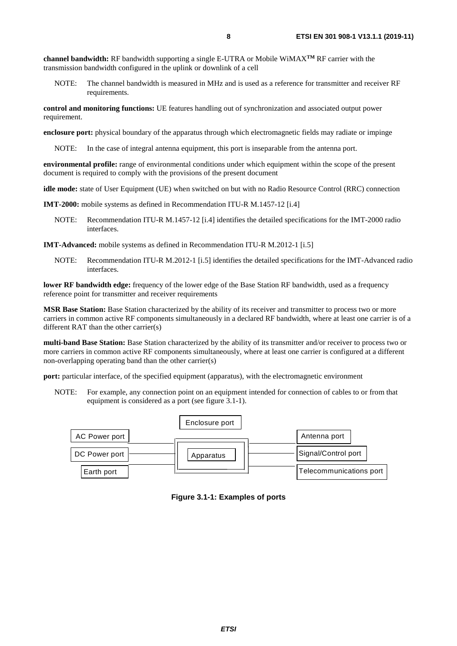**channel bandwidth:** RF bandwidth supporting a single E-UTRA or Mobile WiMAX**TM** RF carrier with the transmission bandwidth configured in the uplink or downlink of a cell

NOTE: The channel bandwidth is measured in MHz and is used as a reference for transmitter and receiver RF requirements.

**control and monitoring functions:** UE features handling out of synchronization and associated output power requirement.

**enclosure port:** physical boundary of the apparatus through which electromagnetic fields may radiate or impinge

NOTE: In the case of integral antenna equipment, this port is inseparable from the antenna port.

**environmental profile:** range of environmental conditions under which equipment within the scope of the present document is required to comply with the provisions of the present document

**idle mode:** state of User Equipment (UE) when switched on but with no Radio Resource Control (RRC) connection

**IMT-2000:** mobile systems as defined in Recommendation ITU-R M.1457-12 [\[i.4](#page-6-0)]

NOTE: Recommendation ITU-R M.1457-12 [\[i.4](#page-6-0)] identifies the detailed specifications for the IMT-2000 radio interfaces.

**IMT-Advanced:** mobile systems as defined in Recommendation ITU-R M.2012-1 [\[i.5\]](#page-6-0)

NOTE: Recommendation ITU-R M.2012-1 [\[i.5](#page-6-0)] identifies the detailed specifications for the IMT-Advanced radio interfaces.

**lower RF bandwidth edge:** frequency of the lower edge of the Base Station RF bandwidth, used as a frequency reference point for transmitter and receiver requirements

**MSR Base Station:** Base Station characterized by the ability of its receiver and transmitter to process two or more carriers in common active RF components simultaneously in a declared RF bandwidth, where at least one carrier is of a different RAT than the other carrier(s)

**multi-band Base Station:** Base Station characterized by the ability of its transmitter and/or receiver to process two or more carriers in common active RF components simultaneously, where at least one carrier is configured at a different non-overlapping operating band than the other carrier(s)

**port:** particular interface, of the specified equipment (apparatus), with the electromagnetic environment

NOTE: For example, any connection point on an equipment intended for connection of cables to or from that equipment is considered as a port (see figure 3.1-1).



**Figure 3.1-1: Examples of ports**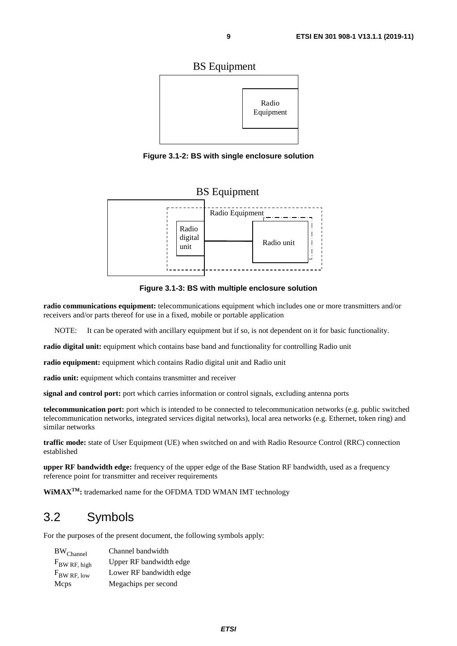<span id="page-8-0"></span>

**Figure 3.1-2: BS with single enclosure solution** 

### BS Equipment



**Figure 3.1-3: BS with multiple enclosure solution** 

**radio communications equipment:** telecommunications equipment which includes one or more transmitters and/or receivers and/or parts thereof for use in a fixed, mobile or portable application

NOTE: It can be operated with ancillary equipment but if so, is not dependent on it for basic functionality.

**radio digital unit:** equipment which contains base band and functionality for controlling Radio unit

**radio equipment:** equipment which contains Radio digital unit and Radio unit

radio unit: equipment which contains transmitter and receiver

**signal and control port:** port which carries information or control signals, excluding antenna ports

**telecommunication port:** port which is intended to be connected to telecommunication networks (e.g. public switched telecommunication networks, integrated services digital networks), local area networks (e.g. Ethernet, token ring) and similar networks

**traffic mode:** state of User Equipment (UE) when switched on and with Radio Resource Control (RRC) connection established

**upper RF bandwidth edge:** frequency of the upper edge of the Base Station RF bandwidth, used as a frequency reference point for transmitter and receiver requirements

**WiMAXTM:** trademarked name for the OFDMA TDD WMAN IMT technology

### 3.2 Symbols

For the purposes of the present document, the following symbols apply:

| BW <sub>Channel</sub> | Channel bandwidth       |
|-----------------------|-------------------------|
| $F_{BW RF, high}$     | Upper RF bandwidth edge |
| $F_{BW RF, low}$      | Lower RF bandwidth edge |
| Mcps                  | Megachips per second    |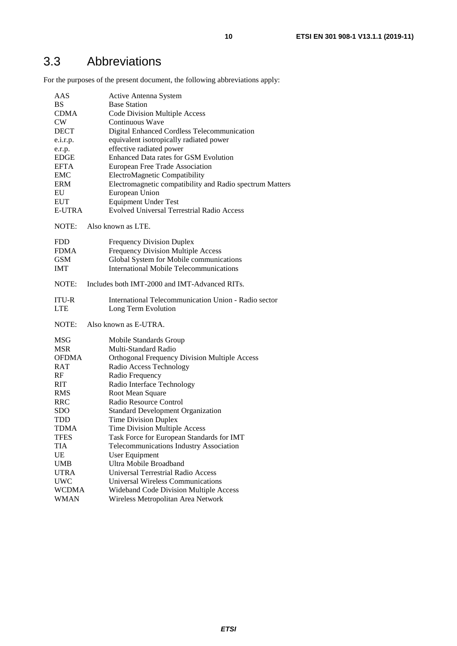<span id="page-9-0"></span>For the purposes of the present document, the following abbreviations apply:

| AAS          | Active Antenna System                                    |
|--------------|----------------------------------------------------------|
| <b>BS</b>    | <b>Base Station</b>                                      |
| <b>CDMA</b>  | <b>Code Division Multiple Access</b>                     |
| CW           | Continuous Wave                                          |
| <b>DECT</b>  | Digital Enhanced Cordless Telecommunication              |
| e.i.r.p.     | equivalent isotropically radiated power                  |
| e.r.p.       | effective radiated power                                 |
| <b>EDGE</b>  | Enhanced Data rates for GSM Evolution                    |
| <b>EFTA</b>  | European Free Trade Association                          |
| <b>EMC</b>   | ElectroMagnetic Compatibility                            |
| <b>ERM</b>   | Electromagnetic compatibility and Radio spectrum Matters |
| EU           | European Union                                           |
| <b>EUT</b>   | <b>Equipment Under Test</b>                              |
| E-UTRA       | <b>Evolved Universal Terrestrial Radio Access</b>        |
|              |                                                          |
| NOTE:        | Also known as LTE.                                       |
| <b>FDD</b>   | <b>Frequency Division Duplex</b>                         |
| <b>FDMA</b>  | Frequency Division Multiple Access                       |
| <b>GSM</b>   | Global System for Mobile communications                  |
| <b>IMT</b>   | <b>International Mobile Telecommunications</b>           |
| NOTE:        | Includes both IMT-2000 and IMT-Advanced RITs.            |
| <b>ITU-R</b> | International Telecommunication Union - Radio sector     |
| <b>LTE</b>   | Long Term Evolution                                      |
| NOTE:        | Also known as E-UTRA.                                    |
| MSG          | Mobile Standards Group                                   |
| <b>MSR</b>   | Multi-Standard Radio                                     |
| OFDMA        | <b>Orthogonal Frequency Division Multiple Access</b>     |
| RAT          | Radio Access Technology                                  |
| RF           | Radio Frequency                                          |
| <b>RIT</b>   | Radio Interface Technology                               |
| <b>RMS</b>   | Root Mean Square                                         |
| <b>RRC</b>   | Radio Resource Control                                   |
| <b>SDO</b>   | <b>Standard Development Organization</b>                 |
| TDD          | <b>Time Division Duplex</b>                              |
| TDMA         | Time Division Multiple Access                            |
| TFES         | Task Force for European Standards for IMT                |
| <b>TIA</b>   | Telecommunications Industry Association                  |
| UE           | User Equipment                                           |
| <b>UMB</b>   | Ultra Mobile Broadband                                   |
| <b>UTRA</b>  | <b>Universal Terrestrial Radio Access</b>                |
| <b>UWC</b>   | <b>Universal Wireless Communications</b>                 |
| <b>WCDMA</b> | Wideband Code Division Multiple Access                   |
| <b>WMAN</b>  | Wireless Metropolitan Area Network                       |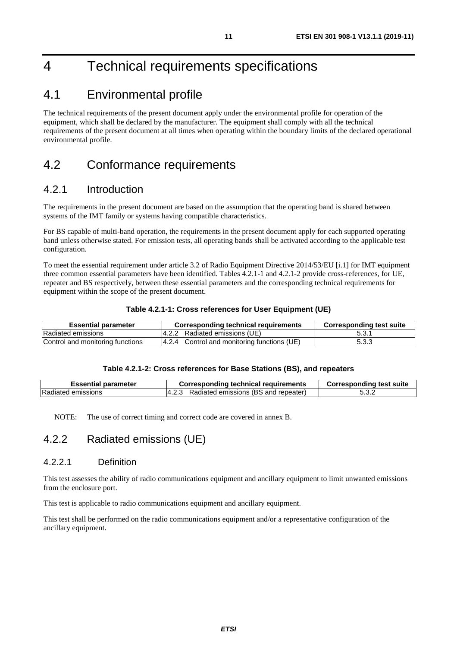# <span id="page-10-0"></span>4 Technical requirements specifications

### 4.1 Environmental profile

The technical requirements of the present document apply under the environmental profile for operation of the equipment, which shall be declared by the manufacturer. The equipment shall comply with all the technical requirements of the present document at all times when operating within the boundary limits of the declared operational environmental profile.

### 4.2 Conformance requirements

### 4.2.1 Introduction

The requirements in the present document are based on the assumption that the operating band is shared between systems of the IMT family or systems having compatible characteristics.

For BS capable of multi-band operation, the requirements in the present document apply for each supported operating band unless otherwise stated. For emission tests, all operating bands shall be activated according to the applicable test configuration.

To meet the essential requirement under article 3.2 of Radio Equipment Directive 2014/53/EU [\[i.1](#page-6-0)] for IMT equipment three common essential parameters have been identified. Tables 4.2.1-1 and 4.2.1-2 provide cross-references, for UE, repeater and BS respectively, between these essential parameters and the corresponding technical requirements for equipment within the scope of the present document.

#### **Table 4.2.1-1: Cross references for User Equipment (UE)**

| <b>Essential parameter</b>       | Corresponding technical requirements        | <b>Corresponding test suite</b> |
|----------------------------------|---------------------------------------------|---------------------------------|
| Radiated emissions               | 4.2.2 Radiated emissions (UE)               | 5.3.1                           |
| Control and monitoring functions | 4.2.4 Control and monitoring functions (UE) | 5.3.3                           |

#### **Table 4.2.1-2: Cross references for Base Stations (BS), and repeaters**

| <b>Essential parameter</b> | <b>Corresponding technical requirements</b> | <b>Corresponding test suite</b> |
|----------------------------|---------------------------------------------|---------------------------------|
| Radiated emissions         | Radiated emissions (BS and repeater)        | 5.3.2                           |

NOTE: The use of correct timing and correct code are covered in annex B.

### 4.2.2 Radiated emissions (UE)

#### 4.2.2.1 Definition

This test assesses the ability of radio communications equipment and ancillary equipment to limit unwanted emissions from the enclosure port.

This test is applicable to radio communications equipment and ancillary equipment.

This test shall be performed on the radio communications equipment and/or a representative configuration of the ancillary equipment.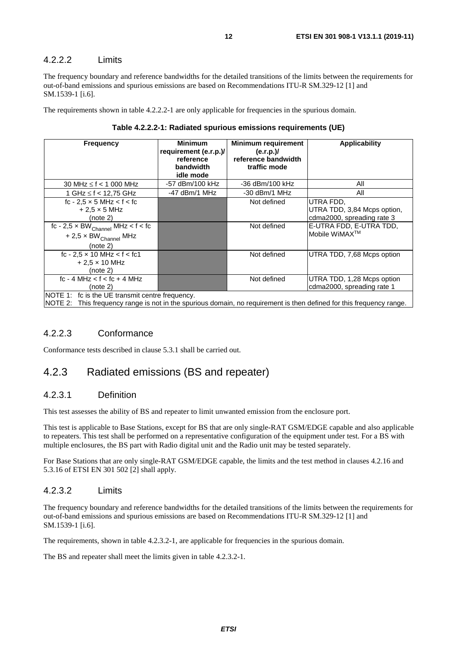#### <span id="page-11-0"></span>4.2.2.2 Limits

The frequency boundary and reference bandwidths for the detailed transitions of the limits between the requirements for out-of-band emissions and spurious emissions are based on Recommendations ITU-R SM.329-12 [\[1](#page-5-0)] and SM.1539-1 [[i.6](#page-6-0)].

The requirements shown in table 4.2.2.2-1 are only applicable for frequencies in the spurious domain.

| Table 4.2.2.2-1: Radiated spurious emissions requirements (UE) |  |  |  |
|----------------------------------------------------------------|--|--|--|
|----------------------------------------------------------------|--|--|--|

| <b>Frequency</b>                                                                                                                                                        | <b>Minimum</b><br>requirement (e.r.p.)/<br>reference<br>bandwidth<br>idle mode | <b>Minimum requirement</b><br>(e.r.p.)/<br>reference bandwidth<br>traffic mode | <b>Applicability</b>                                                                                                           |  |
|-------------------------------------------------------------------------------------------------------------------------------------------------------------------------|--------------------------------------------------------------------------------|--------------------------------------------------------------------------------|--------------------------------------------------------------------------------------------------------------------------------|--|
| 30 MHz $\leq$ f $<$ 1 000 MHz                                                                                                                                           | -57 dBm/100 kHz                                                                | -36 dBm/100 kHz                                                                | All                                                                                                                            |  |
| 1 GHz ≤ f < 12,75 GHz                                                                                                                                                   | $-47$ dBm/1 MHz                                                                | -30 dBm/1 MHz                                                                  | All                                                                                                                            |  |
| fc - $2.5 \times 5$ MHz < f < fc<br>$+2.5 \times 5$ MHz<br>(note 2)<br>fc - $2.5 \times BW_{Channel}$ MHz < f < fc<br>$+ 2.5 \times BW_{Channel}$ MHz                   |                                                                                | Not defined<br>Not defined                                                     | UTRA FDD.<br>UTRA TDD, 3,84 Mcps option,<br>cdma2000, spreading rate 3<br>E-UTRA FDD, E-UTRA TDD,<br>Mobile WiMAX <sup>™</sup> |  |
| (note 2)<br>fc - 2,5 $\times$ 10 MHz $<$ f $<$ fc1<br>$+ 2.5 \times 10$ MHz<br>(note 2)                                                                                 |                                                                                | Not defined                                                                    | UTRA TDD, 7,68 Mcps option                                                                                                     |  |
| $fc - 4 MHz < f < fc + 4 MHz$<br>(note 2)                                                                                                                               |                                                                                | Not defined                                                                    | UTRA TDD, 1,28 Mcps option<br>cdma2000, spreading rate 1                                                                       |  |
| NOTE 1: fc is the UE transmit centre frequency.<br>NOTE 2: This frequency range is not in the spurious domain, no requirement is then defined for this frequency range. |                                                                                |                                                                                |                                                                                                                                |  |

#### 4.2.2.3 Conformance

Conformance tests described in clause 5.3.1 shall be carried out.

#### 4.2.3 Radiated emissions (BS and repeater)

#### 4.2.3.1 Definition

This test assesses the ability of BS and repeater to limit unwanted emission from the enclosure port.

This test is applicable to Base Stations, except for BS that are only single-RAT GSM/EDGE capable and also applicable to repeaters. This test shall be performed on a representative configuration of the equipment under test. For a BS with multiple enclosures, the BS part with Radio digital unit and the Radio unit may be tested separately.

For Base Stations that are only single-RAT GSM/EDGE capable, the limits and the test method in clauses 4.2.16 and 5.3.16 of ETSI EN 301 502 [\[2](#page-5-0)] shall apply.

#### 4.2.3.2 Limits

The frequency boundary and reference bandwidths for the detailed transitions of the limits between the requirements for out-of-band emissions and spurious emissions are based on Recommendations ITU-R SM.329-12 [\[1](#page-5-0)] and SM.1539-1 [[i.6](#page-6-0)].

The requirements, shown in table 4.2.3.2-1, are applicable for frequencies in the spurious domain.

The BS and repeater shall meet the limits given in table 4.2.3.2-1.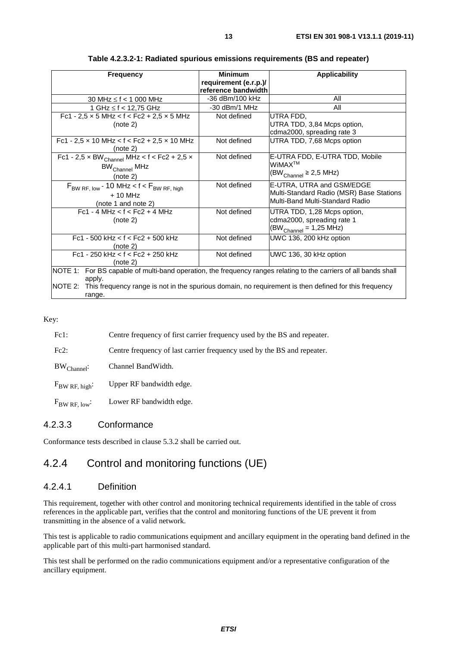<span id="page-12-0"></span>

| <b>Frequency</b>                                                                                                 | <b>Minimum</b>                               | <b>Applicability</b>                     |  |
|------------------------------------------------------------------------------------------------------------------|----------------------------------------------|------------------------------------------|--|
|                                                                                                                  | requirement (e.r.p.)/<br>reference bandwidth |                                          |  |
| 30 MHz $\leq$ f $<$ 1 000 MHz                                                                                    | -36 dBm/100 kHz                              | All                                      |  |
| 1 GHz ≤ f < 12,75 GHz                                                                                            | $-30$ dBm/1 MHz                              | All                                      |  |
| Fc1 - 2,5 $\times$ 5 MHz < f < Fc2 + 2,5 $\times$ 5 MHz                                                          | Not defined                                  | UTRA FDD.                                |  |
| (note 2)                                                                                                         |                                              | UTRA TDD, 3,84 Mcps option,              |  |
|                                                                                                                  |                                              | cdma2000, spreading rate 3               |  |
| Fc1 - 2,5 $\times$ 10 MHz < f < Fc2 + 2,5 $\times$ 10 MHz                                                        | Not defined                                  | UTRA TDD, 7,68 Mcps option               |  |
| (note 2)                                                                                                         |                                              |                                          |  |
| $\overline{FC1 - 2,5 \times BW_{Channel} MHz}$ < $f$ < $Fc2 + 2,5 \times$                                        | Not defined                                  | E-UTRA FDD, E-UTRA TDD, Mobile           |  |
| BW <sub>Channel</sub> MHz                                                                                        |                                              | WiMAX™                                   |  |
| (note 2)                                                                                                         |                                              | $(BW_{Channel} \geq 2.5 MHz)$            |  |
| $F_{BW RF, low}$ - 10 MHz < f < $F_{BW RF, high}$                                                                | Not defined                                  | E-UTRA, UTRA and GSM/EDGE                |  |
| $+10$ MHz                                                                                                        |                                              | Multi-Standard Radio (MSR) Base Stations |  |
| (note 1 and note 2)                                                                                              |                                              | Multi-Band Multi-Standard Radio          |  |
| $Fc1 - 4 MHz < f < FC2 + 4 MHz$                                                                                  | Not defined                                  | UTRA TDD, 1,28 Mcps option,              |  |
| (note 2)                                                                                                         |                                              | cdma2000, spreading rate 1               |  |
|                                                                                                                  |                                              | $(BW_{Channel} = 1,25 MHz)$              |  |
| $Fc1 - 500$ kHz < $f$ < $Fc2 + 500$ kHz                                                                          | Not defined                                  | UWC 136, 200 kHz option                  |  |
| (note 2)                                                                                                         |                                              |                                          |  |
| $Fc1 - 250$ kHz < $f$ < $Fc2 + 250$ kHz                                                                          | Not defined                                  | UWC 136, 30 kHz option                   |  |
| (note 2)                                                                                                         |                                              |                                          |  |
| NOTE 1: For BS capable of multi-band operation, the frequency ranges relating to the carriers of all bands shall |                                              |                                          |  |
| apply.                                                                                                           |                                              |                                          |  |
| NOTE 2: This frequency range is not in the spurious domain, no requirement is then defined for this frequency    |                                              |                                          |  |
| range.                                                                                                           |                                              |                                          |  |

**Table 4.2.3.2-1: Radiated spurious emissions requirements (BS and repeater)** 

Key:

| $Fc1$ :           | Centre frequency of first carrier frequency used by the BS and repeater. |
|-------------------|--------------------------------------------------------------------------|
| Fc2:              | Centre frequency of last carrier frequency used by the BS and repeater.  |
| $BW_{Channel}$ :  | Channel BandWidth.                                                       |
| $F_{BW RF, high}$ | Upper RF bandwidth edge.                                                 |
| $F_{BW RF, low}$  | Lower RF bandwidth edge.                                                 |

#### 4.2.3.3 Conformance

Conformance tests described in clause 5.3.2 shall be carried out.

### 4.2.4 Control and monitoring functions (UE)

#### 4.2.4.1 Definition

This requirement, together with other control and monitoring technical requirements identified in the table of cross references in the applicable part, verifies that the control and monitoring functions of the UE prevent it from transmitting in the absence of a valid network.

This test is applicable to radio communications equipment and ancillary equipment in the operating band defined in the applicable part of this multi-part harmonised standard.

This test shall be performed on the radio communications equipment and/or a representative configuration of the ancillary equipment.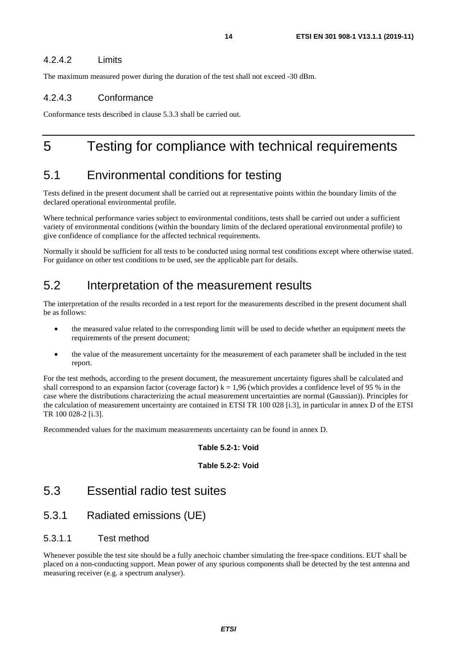#### <span id="page-13-0"></span>4.2.4.2 Limits

The maximum measured power during the duration of the test shall not exceed -30 dBm.

#### 4.2.4.3 Conformance

Conformance tests described in clause 5.3.3 shall be carried out.

## 5 Testing for compliance with technical requirements

### 5.1 Environmental conditions for testing

Tests defined in the present document shall be carried out at representative points within the boundary limits of the declared operational environmental profile.

Where technical performance varies subject to environmental conditions, tests shall be carried out under a sufficient variety of environmental conditions (within the boundary limits of the declared operational environmental profile) to give confidence of compliance for the affected technical requirements.

Normally it should be sufficient for all tests to be conducted using normal test conditions except where otherwise stated. For guidance on other test conditions to be used, see the applicable part for details.

### 5.2 Interpretation of the measurement results

The interpretation of the results recorded in a test report for the measurements described in the present document shall be as follows:

- the measured value related to the corresponding limit will be used to decide whether an equipment meets the requirements of the present document;
- the value of the measurement uncertainty for the measurement of each parameter shall be included in the test report.

For the test methods, according to the present document, the measurement uncertainty figures shall be calculated and shall correspond to an expansion factor (coverage factor)  $k = 1.96$  (which provides a confidence level of 95 % in the case where the distributions characterizing the actual measurement uncertainties are normal (Gaussian)). Principles for the calculation of measurement uncertainty are contained in ETSI TR 100 028 [\[i.3\]](#page-6-0), in particular in annex D of the ETSI TR 100 028-2 [\[i.3](#page-6-0)].

Recommended values for the maximum measurements uncertainty can be found in annex D.

#### **Table 5.2-1: Void**

#### **Table 5.2-2: Void**

### 5.3 Essential radio test suites

### 5.3.1 Radiated emissions (UE)

#### 5.3.1.1 Test method

Whenever possible the test site should be a fully anechoic chamber simulating the free-space conditions. EUT shall be placed on a non-conducting support. Mean power of any spurious components shall be detected by the test antenna and measuring receiver (e.g. a spectrum analyser).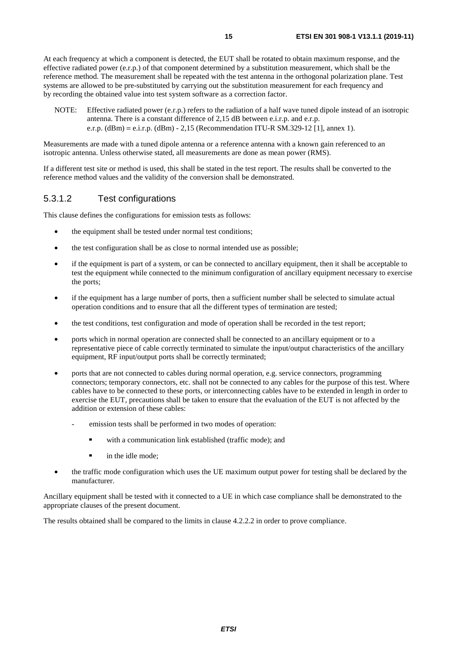<span id="page-14-0"></span>At each frequency at which a component is detected, the EUT shall be rotated to obtain maximum response, and the effective radiated power (e.r.p.) of that component determined by a substitution measurement, which shall be the reference method. The measurement shall be repeated with the test antenna in the orthogonal polarization plane. Test systems are allowed to be pre-substituted by carrying out the substitution measurement for each frequency and by recording the obtained value into test system software as a correction factor.

NOTE: Effective radiated power (e.r.p.) refers to the radiation of a half wave tuned dipole instead of an isotropic antenna. There is a constant difference of 2,15 dB between e.i.r.p. and e.r.p. e.r.p.  $(dBm) = e.i.r.p.$   $(dBm) - 2,15$  (Recommendation ITU-R SM.329-12 [\[1](#page-5-0)], annex 1).

Measurements are made with a tuned dipole antenna or a reference antenna with a known gain referenced to an isotropic antenna. Unless otherwise stated, all measurements are done as mean power (RMS).

If a different test site or method is used, this shall be stated in the test report. The results shall be converted to the reference method values and the validity of the conversion shall be demonstrated.

#### 5.3.1.2 Test configurations

This clause defines the configurations for emission tests as follows:

- the equipment shall be tested under normal test conditions;
- the test configuration shall be as close to normal intended use as possible;
- if the equipment is part of a system, or can be connected to ancillary equipment, then it shall be acceptable to test the equipment while connected to the minimum configuration of ancillary equipment necessary to exercise the ports;
- if the equipment has a large number of ports, then a sufficient number shall be selected to simulate actual operation conditions and to ensure that all the different types of termination are tested;
- the test conditions, test configuration and mode of operation shall be recorded in the test report;
- ports which in normal operation are connected shall be connected to an ancillary equipment or to a representative piece of cable correctly terminated to simulate the input/output characteristics of the ancillary equipment, RF input/output ports shall be correctly terminated;
- ports that are not connected to cables during normal operation, e.g. service connectors, programming connectors; temporary connectors, etc. shall not be connected to any cables for the purpose of this test. Where cables have to be connected to these ports, or interconnecting cables have to be extended in length in order to exercise the EUT, precautions shall be taken to ensure that the evaluation of the EUT is not affected by the addition or extension of these cables:
	- emission tests shall be performed in two modes of operation:
		- with a communication link established (traffic mode); and
		- in the idle mode;
- the traffic mode configuration which uses the UE maximum output power for testing shall be declared by the manufacturer.

Ancillary equipment shall be tested with it connected to a UE in which case compliance shall be demonstrated to the appropriate clauses of the present document.

The results obtained shall be compared to the limits in clause 4.2.2.2 in order to prove compliance.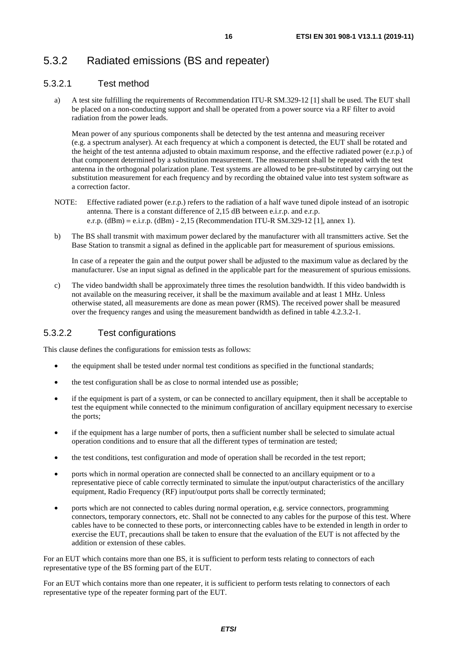### <span id="page-15-0"></span>5.3.2 Radiated emissions (BS and repeater)

#### 5.3.2.1 Test method

a) A test site fulfilling the requirements of Recommendation ITU-R SM.329-12 [[1\]](#page-5-0) shall be used. The EUT shall be placed on a non-conducting support and shall be operated from a power source via a RF filter to avoid radiation from the power leads.

 Mean power of any spurious components shall be detected by the test antenna and measuring receiver (e.g. a spectrum analyser). At each frequency at which a component is detected, the EUT shall be rotated and the height of the test antenna adjusted to obtain maximum response, and the effective radiated power (e.r.p.) of that component determined by a substitution measurement. The measurement shall be repeated with the test antenna in the orthogonal polarization plane. Test systems are allowed to be pre-substituted by carrying out the substitution measurement for each frequency and by recording the obtained value into test system software as a correction factor.

- NOTE: Effective radiated power (e.r.p.) refers to the radiation of a half wave tuned dipole instead of an isotropic antenna. There is a constant difference of 2,15 dB between e.i.r.p. and e.r.p. e.r.p. (dBm) = e.i.r.p. (dBm) - 2,15 (Recommendation ITU-R SM.329-12 [\[1](#page-5-0)], annex 1).
- b) The BS shall transmit with maximum power declared by the manufacturer with all transmitters active. Set the Base Station to transmit a signal as defined in the applicable part for measurement of spurious emissions.

 In case of a repeater the gain and the output power shall be adjusted to the maximum value as declared by the manufacturer. Use an input signal as defined in the applicable part for the measurement of spurious emissions.

c) The video bandwidth shall be approximately three times the resolution bandwidth. If this video bandwidth is not available on the measuring receiver, it shall be the maximum available and at least 1 MHz. Unless otherwise stated, all measurements are done as mean power (RMS). The received power shall be measured over the frequency ranges and using the measurement bandwidth as defined in table 4.2.3.2-1.

#### 5.3.2.2 Test configurations

This clause defines the configurations for emission tests as follows:

- the equipment shall be tested under normal test conditions as specified in the functional standards;
- the test configuration shall be as close to normal intended use as possible;
- if the equipment is part of a system, or can be connected to ancillary equipment, then it shall be acceptable to test the equipment while connected to the minimum configuration of ancillary equipment necessary to exercise the ports;
- if the equipment has a large number of ports, then a sufficient number shall be selected to simulate actual operation conditions and to ensure that all the different types of termination are tested;
- the test conditions, test configuration and mode of operation shall be recorded in the test report;
- ports which in normal operation are connected shall be connected to an ancillary equipment or to a representative piece of cable correctly terminated to simulate the input/output characteristics of the ancillary equipment, Radio Frequency (RF) input/output ports shall be correctly terminated;
- ports which are not connected to cables during normal operation, e.g. service connectors, programming connectors, temporary connectors, etc. Shall not be connected to any cables for the purpose of this test. Where cables have to be connected to these ports, or interconnecting cables have to be extended in length in order to exercise the EUT, precautions shall be taken to ensure that the evaluation of the EUT is not affected by the addition or extension of these cables.

For an EUT which contains more than one BS, it is sufficient to perform tests relating to connectors of each representative type of the BS forming part of the EUT.

For an EUT which contains more than one repeater, it is sufficient to perform tests relating to connectors of each representative type of the repeater forming part of the EUT.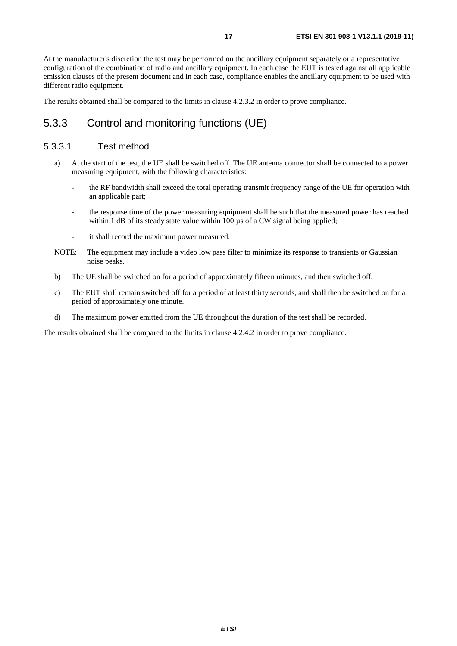<span id="page-16-0"></span>At the manufacturer's discretion the test may be performed on the ancillary equipment separately or a representative configuration of the combination of radio and ancillary equipment. In each case the EUT is tested against all applicable emission clauses of the present document and in each case, compliance enables the ancillary equipment to be used with different radio equipment.

The results obtained shall be compared to the limits in clause 4.2.3.2 in order to prove compliance.

### 5.3.3 Control and monitoring functions (UE)

#### 5.3.3.1 Test method

- a) At the start of the test, the UE shall be switched off. The UE antenna connector shall be connected to a power measuring equipment, with the following characteristics:
	- the RF bandwidth shall exceed the total operating transmit frequency range of the UE for operation with an applicable part;
	- the response time of the power measuring equipment shall be such that the measured power has reached within 1 dB of its steady state value within 100  $\mu$ s of a CW signal being applied;
	- it shall record the maximum power measured.
- NOTE: The equipment may include a video low pass filter to minimize its response to transients or Gaussian noise peaks.
- b) The UE shall be switched on for a period of approximately fifteen minutes, and then switched off.
- c) The EUT shall remain switched off for a period of at least thirty seconds, and shall then be switched on for a period of approximately one minute.
- d) The maximum power emitted from the UE throughout the duration of the test shall be recorded.

The results obtained shall be compared to the limits in clause 4.2.4.2 in order to prove compliance.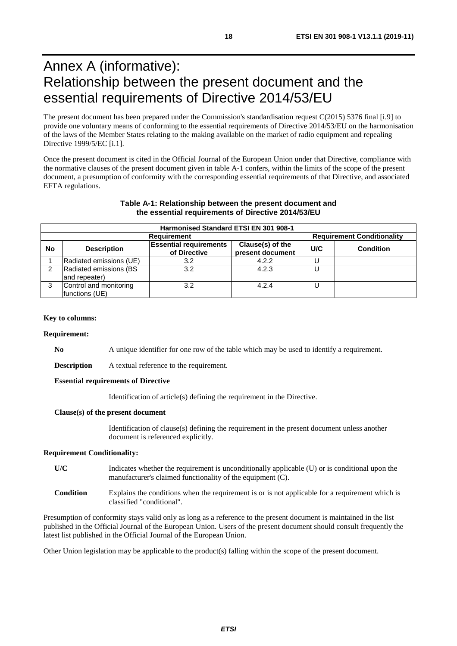# <span id="page-17-0"></span>Annex A (informative): Relationship between the present document and the essential requirements of Directive 2014/53/EU

The present document has been prepared under the Commission's standardisation request C(2015) 5376 final [\[i.9\]](#page-6-0) to provide one voluntary means of conforming to the essential requirements of Directive 2014/53/EU on the harmonisation of the laws of the Member States relating to the making available on the market of radio equipment and repealing Directive 1999/5/EC [\[i.1](#page-6-0)].

Once the present document is cited in the Official Journal of the European Union under that Directive, compliance with the normative clauses of the present document given in table A-1 confers, within the limits of the scope of the present document, a presumption of conformity with the corresponding essential requirements of that Directive, and associated EFTA regulations.

#### **Table A-1: Relationship between the present document and the essential requirements of Directive 2014/53/EU**

|                                                         | Harmonised Standard ETSI EN 301 908-1    |                                               |                                      |     |                  |
|---------------------------------------------------------|------------------------------------------|-----------------------------------------------|--------------------------------------|-----|------------------|
| <b>Requirement Conditionality</b><br><b>Requirement</b> |                                          |                                               |                                      |     |                  |
| <b>No</b>                                               | <b>Description</b>                       | <b>Essential requirements</b><br>of Directive | Clause(s) of the<br>present document | U/C | <b>Condition</b> |
|                                                         | Radiated emissions (UE)                  | 3.2                                           | 4.2.2                                |     |                  |
|                                                         | Radiated emissions (BS<br>and repeater)  | 3.2                                           | 4.2.3                                |     |                  |
| 3                                                       | Control and monitoring<br>functions (UE) | 3.2                                           | 4.2.4                                |     |                  |

#### **Key to columns:**

#### **Requirement:**

**No** A unique identifier for one row of the table which may be used to identify a requirement.

**Description** A textual reference to the requirement.

#### **Essential requirements of Directive**

Identification of article(s) defining the requirement in the Directive.

#### **Clause(s) of the present document**

Identification of clause(s) defining the requirement in the present document unless another document is referenced explicitly.

#### **Requirement Conditionality:**

- U/C Indicates whether the requirement is unconditionally applicable (U) or is conditional upon the manufacturer's claimed functionality of the equipment (C).
- **Condition** Explains the conditions when the requirement is or is not applicable for a requirement which is classified "conditional".

Presumption of conformity stays valid only as long as a reference to the present document is maintained in the list published in the Official Journal of the European Union. Users of the present document should consult frequently the latest list published in the Official Journal of the European Union.

Other Union legislation may be applicable to the product(s) falling within the scope of the present document.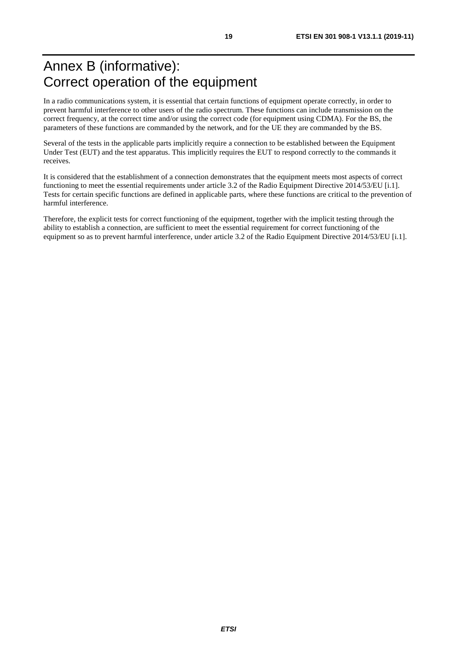# <span id="page-18-0"></span>Annex B (informative): Correct operation of the equipment

In a radio communications system, it is essential that certain functions of equipment operate correctly, in order to prevent harmful interference to other users of the radio spectrum. These functions can include transmission on the correct frequency, at the correct time and/or using the correct code (for equipment using CDMA). For the BS, the parameters of these functions are commanded by the network, and for the UE they are commanded by the BS.

Several of the tests in the applicable parts implicitly require a connection to be established between the Equipment Under Test (EUT) and the test apparatus. This implicitly requires the EUT to respond correctly to the commands it receives.

It is considered that the establishment of a connection demonstrates that the equipment meets most aspects of correct functioning to meet the essential requirements under article 3.2 of the Radio Equipment Directive 2014/53/EU [\[i.1](#page-6-0)]. Tests for certain specific functions are defined in applicable parts, where these functions are critical to the prevention of harmful interference.

Therefore, the explicit tests for correct functioning of the equipment, together with the implicit testing through the ability to establish a connection, are sufficient to meet the essential requirement for correct functioning of the equipment so as to prevent harmful interference, under article 3.2 of the Radio Equipment Directive 2014/53/EU [[i.1\]](#page-6-0).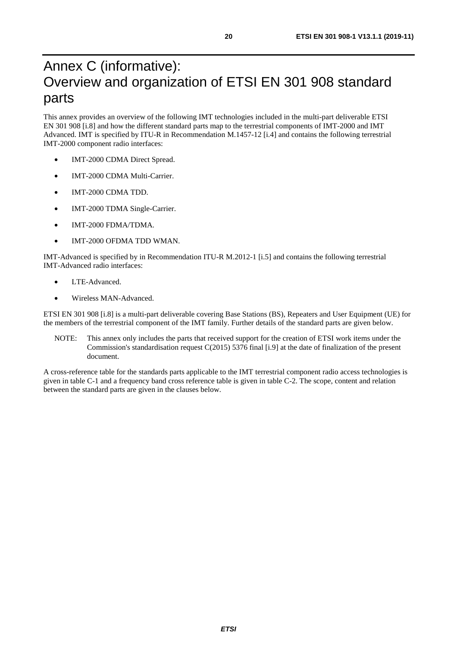# <span id="page-19-0"></span>Annex C (informative): Overview and organization of ETSI EN 301 908 standard parts

This annex provides an overview of the following IMT technologies included in the multi-part deliverable ETSI EN 301 908 [[i.8](#page-6-0)] and how the different standard parts map to the terrestrial components of IMT-2000 and IMT Advanced. IMT is specified by ITU-R in Recommendation M.1457-12 [\[i.4](#page-6-0)] and contains the following terrestrial IMT-2000 component radio interfaces:

- IMT-2000 CDMA Direct Spread.
- IMT-2000 CDMA Multi-Carrier.
- IMT-2000 CDMA TDD.
- IMT-2000 TDMA Single-Carrier.
- IMT-2000 FDMA/TDMA
- IMT-2000 OFDMA TDD WMAN.

IMT-Advanced is specified by in Recommendation ITU-R M.2012-1 [\[i.5\]](#page-6-0) and contains the following terrestrial IMT-Advanced radio interfaces:

- LTE-Advanced.
- Wireless MAN-Advanced.

ETSI EN 301 908 [\[i.8\]](#page-6-0) is a multi-part deliverable covering Base Stations (BS), Repeaters and User Equipment (UE) for the members of the terrestrial component of the IMT family. Further details of the standard parts are given below.

NOTE: This annex only includes the parts that received support for the creation of ETSI work items under the Commission's standardisation request C(2015) 5376 final [[i.9](#page-6-0)] at the date of finalization of the present document.

A cross-reference table for the standards parts applicable to the IMT terrestrial component radio access technologies is given in table C-1 and a frequency band cross reference table is given in table C-2. The scope, content and relation between the standard parts are given in the clauses below.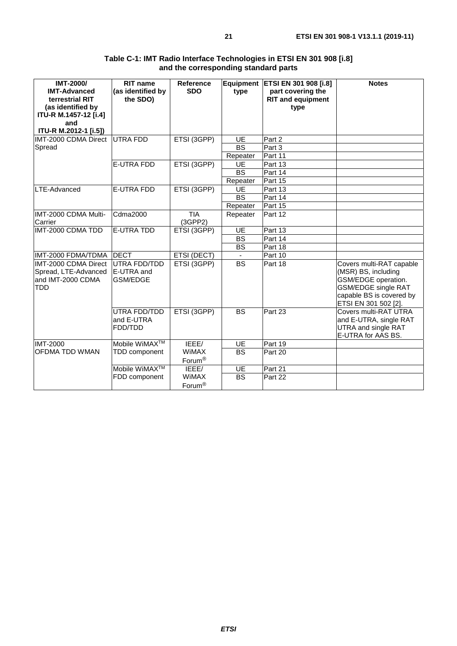| <b>IMT-2000/</b><br><b>IMT-Advanced</b><br>terrestrial RIT<br>(as identified by<br>ITU-R M.1457-12 [i.4]<br>and<br>ITU-R M.2012-1 [i.5]) | <b>RIT name</b><br>(as identified by<br>the SDO) | <b>Reference</b><br><b>SDO</b>     | type            | Equipment   ETSI EN 301 908 [i.8]<br>part covering the<br><b>RIT and equipment</b><br>type | <b>Notes</b>                                                                                                                                             |
|------------------------------------------------------------------------------------------------------------------------------------------|--------------------------------------------------|------------------------------------|-----------------|--------------------------------------------------------------------------------------------|----------------------------------------------------------------------------------------------------------------------------------------------------------|
| IMT-2000 CDMA Direct UTRA FDD                                                                                                            |                                                  | ETSI (3GPP)                        | UE              | Part 2                                                                                     |                                                                                                                                                          |
| Spread                                                                                                                                   |                                                  |                                    | <b>BS</b>       | Part 3                                                                                     |                                                                                                                                                          |
|                                                                                                                                          |                                                  |                                    | Repeater        | Part 11                                                                                    |                                                                                                                                                          |
|                                                                                                                                          | <b>E-UTRA FDD</b>                                | ETSI (3GPP)                        | <b>UE</b>       | Part 13                                                                                    |                                                                                                                                                          |
|                                                                                                                                          |                                                  |                                    | $\overline{BS}$ | Part 14                                                                                    |                                                                                                                                                          |
|                                                                                                                                          |                                                  |                                    | Repeater        | Part 15                                                                                    |                                                                                                                                                          |
| LTE-Advanced                                                                                                                             | <b>E-UTRA FDD</b>                                | ETSI (3GPP)                        | <b>UE</b>       | Part 13                                                                                    |                                                                                                                                                          |
|                                                                                                                                          |                                                  |                                    | <b>BS</b>       | Part 14                                                                                    |                                                                                                                                                          |
|                                                                                                                                          |                                                  |                                    | Repeater        | Part 15                                                                                    |                                                                                                                                                          |
| IMT-2000 CDMA Multi-<br>Carrier                                                                                                          | Cdma2000                                         | <b>TIA</b><br>(3GPP2)              | Repeater        | Part 12                                                                                    |                                                                                                                                                          |
| IMT-2000 CDMA TDD                                                                                                                        | <b>E-UTRA TDD</b>                                | ETSI (3GPP)                        | UE              | Part 13                                                                                    |                                                                                                                                                          |
|                                                                                                                                          |                                                  |                                    | $\overline{BS}$ | Part 14                                                                                    |                                                                                                                                                          |
|                                                                                                                                          |                                                  |                                    | <b>BS</b>       | Part 18                                                                                    |                                                                                                                                                          |
| IMT-2000 FDMA/TDMA                                                                                                                       | <b>DECT</b>                                      | ETSI (DECT)                        |                 | Part 10                                                                                    |                                                                                                                                                          |
| IMT-2000 CDMA Direct<br>Spread, LTE-Advanced<br>and IMT-2000 CDMA<br><b>TDD</b>                                                          | UTRA FDD/TDD<br>E-UTRA and<br><b>GSM/EDGE</b>    | ETSI (3GPP)                        | <b>BS</b>       | Part 18                                                                                    | Covers multi-RAT capable<br>(MSR) BS, including<br>GSM/EDGE operation.<br><b>GSM/EDGE single RAT</b><br>capable BS is covered by<br>ETSI EN 301 502 [2]. |
|                                                                                                                                          | UTRA FDD/TDD<br>and E-UTRA<br>FDD/TDD            | ETSI (3GPP)                        | <b>BS</b>       | Part 23                                                                                    | Covers multi-RAT UTRA<br>and E-UTRA, single RAT<br>UTRA and single RAT<br>E-UTRA for AAS BS.                                                             |
| <b>IMT-2000</b>                                                                                                                          | Mobile WiMAX <sup>™</sup>                        | IEEE/                              | <b>UE</b>       | Part 19                                                                                    |                                                                                                                                                          |
| <b>OFDMA TDD WMAN</b>                                                                                                                    | TDD component                                    | <b>WiMAX</b><br>Forum <sup>®</sup> | <b>BS</b>       | Part 20                                                                                    |                                                                                                                                                          |
|                                                                                                                                          | Mobile WiMAX <sup>™</sup>                        | IEEE/                              | <b>UE</b>       | Part 21                                                                                    |                                                                                                                                                          |
|                                                                                                                                          | FDD component                                    | <b>WiMAX</b><br>Forum <sup>®</sup> | <b>BS</b>       | Part 22                                                                                    |                                                                                                                                                          |

#### **Table C-1: IMT Radio Interface Technologies in ETSI EN 301 908 [[i.8\]](#page-6-0) and the corresponding standard parts**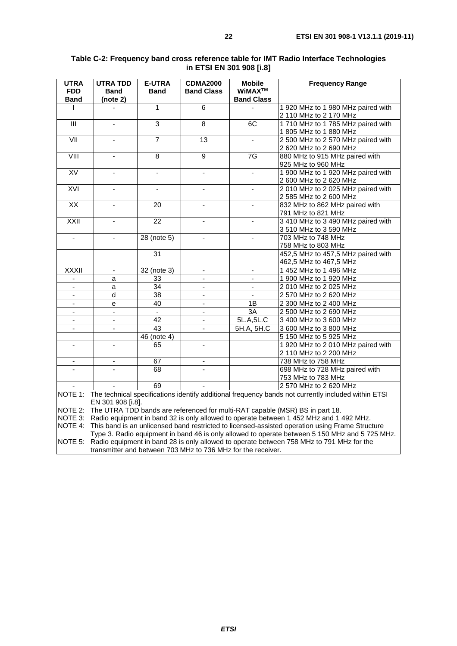| <b>UTRA</b>              | <b>UTRA TDD</b>          | <b>E-UTRA</b>   | <b>CDMA2000</b>          | <b>Mobile</b>            | <b>Frequency Range</b>                                                                                      |
|--------------------------|--------------------------|-----------------|--------------------------|--------------------------|-------------------------------------------------------------------------------------------------------------|
| <b>FDD</b>               | <b>Band</b>              | <b>Band</b>     | <b>Band Class</b>        | WiMAX™                   |                                                                                                             |
| <b>Band</b>              | (note 2)                 |                 |                          | <b>Band Class</b>        |                                                                                                             |
| L                        |                          | $\mathbf{1}$    | $\overline{6}$           |                          | 1 920 MHz to 1 980 MHz paired with                                                                          |
|                          |                          |                 |                          |                          | 2 110 MHz to 2 170 MHz                                                                                      |
| $\overline{\mathbb{H}}$  |                          | 3               | $\overline{8}$           | 6C                       | 1 710 MHz to 1 785 MHz paired with                                                                          |
|                          |                          |                 |                          |                          | 1 805 MHz to 1 880 MHz                                                                                      |
| $\overline{\text{V}}$    | ÷,                       | $\overline{7}$  | $\overline{13}$          | $\blacksquare$           | 2 500 MHz to 2 570 MHz paired with                                                                          |
|                          |                          |                 |                          |                          | 2 620 MHz to 2 690 MHz                                                                                      |
| VIII                     |                          | $\overline{8}$  | $\overline{9}$           | $\overline{7G}$          | 880 MHz to 915 MHz paired with                                                                              |
|                          |                          |                 |                          |                          | 925 MHz to 960 MHz                                                                                          |
| <b>XV</b>                | $\blacksquare$           | $\blacksquare$  | ä,                       | ÷,                       | 1 900 MHz to 1 920 MHz paired with                                                                          |
|                          |                          |                 |                          |                          | 2 600 MHz to 2 620 MHz                                                                                      |
| XVI                      |                          |                 |                          |                          | 2 010 MHz to 2 025 MHz paired with                                                                          |
|                          |                          |                 |                          |                          | 2 585 MHz to 2 600 MHz                                                                                      |
| $\overline{XX}$          | ÷,                       | 20              | $\overline{\phantom{0}}$ | $\blacksquare$           | 832 MHz to 862 MHz paired with                                                                              |
|                          |                          |                 |                          |                          | 791 MHz to 821 MHz                                                                                          |
| XXII                     |                          | 22              |                          |                          | 3 410 MHz to 3 490 MHz paired with                                                                          |
|                          |                          |                 |                          |                          | 3 510 MHz to 3 590 MHz                                                                                      |
| $\blacksquare$           | $\overline{\phantom{a}}$ | 28 (note 5)     | $\blacksquare$           | $\blacksquare$           | 703 MHz to 748 MHz                                                                                          |
|                          |                          |                 |                          |                          | 758 MHz to 803 MHz                                                                                          |
|                          |                          | 31              |                          |                          | 452,5 MHz to 457,5 MHz paired with                                                                          |
|                          |                          |                 |                          |                          | 462,5 MHz to 467,5 MHz                                                                                      |
| <b>XXXII</b>             | $\blacksquare$           | $32$ (note 3)   | $\blacksquare$           | $\blacksquare$           | 1 452 MHz to 1 496 MHz                                                                                      |
| $\overline{\phantom{a}}$ | а                        | 33              | ۰                        | $\overline{\phantom{a}}$ | 1 900 MHz to 1 920 MHz                                                                                      |
| $\blacksquare$           | a                        | 34              | $\overline{\phantom{0}}$ | $\overline{\phantom{a}}$ | 2 010 MHz to 2 025 MHz                                                                                      |
|                          | d                        | $\overline{38}$ |                          |                          | 2 570 MHz to 2 620 MHz                                                                                      |
| $\blacksquare$           | е                        | 40              | ä,                       | $\overline{1B}$          | 2 300 MHz to 2 400 MHz                                                                                      |
| $\blacksquare$           | $\overline{\phantom{a}}$ | $\blacksquare$  | $\blacksquare$           | 3A                       | 2 500 MHz to 2 690 MHz                                                                                      |
| $\blacksquare$           | $\overline{\phantom{a}}$ | 42              |                          | 5L.A, 5L.C               | 3 400 MHz to 3 600 MHz                                                                                      |
| $\blacksquare$           | $\overline{\phantom{a}}$ | 43              | $\overline{\phantom{0}}$ | 5H.A, 5H.C               | 3 600 MHz to 3 800 MHz                                                                                      |
|                          |                          | 46 (note 4)     |                          |                          | 5 150 MHz to 5 925 MHz                                                                                      |
| $\blacksquare$           | ÷.                       | 65              | $\blacksquare$           |                          | 1 920 MHz to 2 010 MHz paired with                                                                          |
|                          |                          |                 |                          |                          | 2 110 MHz to 2 200 MHz                                                                                      |
| $\overline{\phantom{a}}$ | $\overline{\phantom{a}}$ | 67              | $\overline{\phantom{0}}$ |                          | 738 MHz to 758 MHz                                                                                          |
|                          |                          | 68              |                          |                          | 698 MHz to 728 MHz paired with                                                                              |
|                          |                          |                 |                          |                          | 753 MHz to 783 MHz                                                                                          |
|                          |                          | 69              |                          |                          | 2 570 MHz to 2 620 MHz                                                                                      |
|                          |                          |                 |                          |                          | NOTE 1: The technical specifications identify additional frequency bands not currently included within ETSI |
|                          | EN 301 908 [i.8].        |                 |                          |                          |                                                                                                             |
|                          |                          |                 |                          |                          | NOTE 2: The UTRA TDD bands are referenced for multi-RAT capable (MSR) BS in part 18.                        |
|                          |                          |                 |                          |                          | NOTE 3: Radio equipment in band 32 is only allowed to operate between 1 452 MHz and 1 492 MHz.              |

#### **Table C-2: Frequency band cross reference table for IMT Radio Interface Technologies in ETSI EN 301 908 [[i.8](#page-6-0)]**

NOTE 4: This band is an unlicensed band restricted to licensed-assisted operation using Frame Structure Type 3. Radio equipment in band 46 is only allowed to operate between 5 150 MHz and 5 725 MHz. NOTE 5: Radio equipment in band 28 is only allowed to operate between 758 MHz to 791 MHz for the

transmitter and between 703 MHz to 736 MHz for the receiver.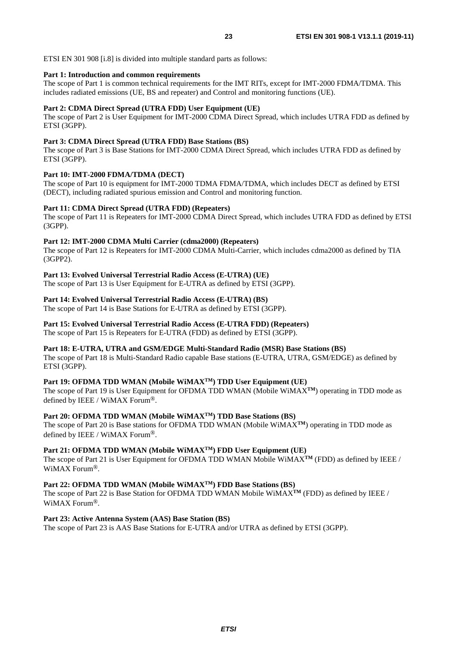ETSI EN 301 908 [\[i.8\]](#page-6-0) is divided into multiple standard parts as follows:

#### **Part 1: Introduction and common requirements**

The scope of Part 1 is common technical requirements for the IMT RITs, except for IMT-2000 FDMA/TDMA. This includes radiated emissions (UE, BS and repeater) and Control and monitoring functions (UE).

#### **Part 2: CDMA Direct Spread (UTRA FDD) User Equipment (UE)**

The scope of Part 2 is User Equipment for IMT-2000 CDMA Direct Spread, which includes UTRA FDD as defined by ETSI (3GPP).

#### **Part 3: CDMA Direct Spread (UTRA FDD) Base Stations (BS)**

The scope of Part 3 is Base Stations for IMT-2000 CDMA Direct Spread, which includes UTRA FDD as defined by ETSI (3GPP).

#### **Part 10: IMT-2000 FDMA/TDMA (DECT)**

The scope of Part 10 is equipment for IMT-2000 TDMA FDMA/TDMA, which includes DECT as defined by ETSI (DECT), including radiated spurious emission and Control and monitoring function.

#### **Part 11: CDMA Direct Spread (UTRA FDD) (Repeaters)**

The scope of Part 11 is Repeaters for IMT-2000 CDMA Direct Spread, which includes UTRA FDD as defined by ETSI (3GPP).

#### **Part 12: IMT-2000 CDMA Multi Carrier (cdma2000) (Repeaters)**

The scope of Part 12 is Repeaters for IMT-2000 CDMA Multi-Carrier, which includes cdma2000 as defined by TIA (3GPP2).

#### **Part 13: Evolved Universal Terrestrial Radio Access (E-UTRA) (UE)**

The scope of Part 13 is User Equipment for E-UTRA as defined by ETSI (3GPP).

#### **Part 14: Evolved Universal Terrestrial Radio Access (E-UTRA) (BS)**

The scope of Part 14 is Base Stations for E-UTRA as defined by ETSI (3GPP).

#### **Part 15: Evolved Universal Terrestrial Radio Access (E-UTRA FDD) (Repeaters)**

The scope of Part 15 is Repeaters for E-UTRA (FDD) as defined by ETSI (3GPP).

#### **Part 18: E-UTRA, UTRA and GSM/EDGE Multi-Standard Radio (MSR) Base Stations (BS)**

The scope of Part 18 is Multi-Standard Radio capable Base stations (E-UTRA, UTRA, GSM/EDGE) as defined by ETSI (3GPP).

#### Part 19: OFDMA TDD WMAN (Mobile WiMAX<sup>™</sup>) TDD User Equipment (UE)

The scope of Part 19 is User Equipment for OFDMA TDD WMAN (Mobile WiMAX**TM**) operating in TDD mode as defined by IEEE / WiMAX Forum®.

#### Part 20: OFDMA TDD WMAN (Mobile WiMAX<sup>TM</sup>) TDD Base Stations (BS)

The scope of Part 20 is Base stations for OFDMA TDD WMAN (Mobile WiMAX**TM**) operating in TDD mode as defined by IEEE / WiMAX Forum®.

**Part 21: OFDMA TDD WMAN (Mobile WiMAXTM) FDD User Equipment (UE)**

The scope of Part 21 is User Equipment for OFDMA TDD WMAN Mobile WiMAX**TM** (FDD) as defined by IEEE / WiMAX Forum®.

#### **Part 22: OFDMA TDD WMAN (Mobile WiMAXTM) FDD Base Stations (BS)**

The scope of Part 22 is Base Station for OFDMA TDD WMAN Mobile WiMAX**TM** (FDD) as defined by IEEE / WiMAX Forum®.

#### **Part 23: Active Antenna System (AAS) Base Station (BS)**

The scope of Part 23 is AAS Base Stations for E-UTRA and/or UTRA as defined by ETSI (3GPP).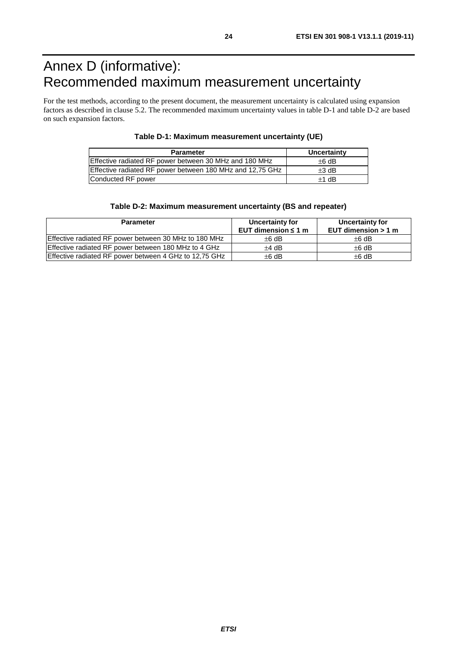# <span id="page-23-0"></span>Annex D (informative): Recommended maximum measurement uncertainty

For the test methods, according to the present document, the measurement uncertainty is calculated using expansion factors as described in clause 5.2. The recommended maximum uncertainty values in table D-1 and table D-2 are based on such expansion factors.

| Table D-1: Maximum measurement uncertainty (UE) |  |  |  |
|-------------------------------------------------|--|--|--|
|-------------------------------------------------|--|--|--|

| <b>Parameter</b>                                          | Uncertainty |
|-----------------------------------------------------------|-------------|
| Effective radiated RF power between 30 MHz and 180 MHz    | $\pm 6$ dB  |
| Effective radiated RF power between 180 MHz and 12,75 GHz | $\pm 3$ dB  |
| Conducted RF power                                        | $+1$ dB     |

#### **Table D-2: Maximum measurement uncertainty (BS and repeater)**

| <b>Parameter</b>                                       | Uncertainty for<br>EUT dimension $\leq 1$ m | Uncertainty for<br>EUT dimension $> 1$ m |
|--------------------------------------------------------|---------------------------------------------|------------------------------------------|
| Effective radiated RF power between 30 MHz to 180 MHz  | $\pm 6$ dB                                  | $\pm 6$ dB                               |
| Effective radiated RF power between 180 MHz to 4 GHz   | $+4$ dB                                     | $\pm 6$ dB                               |
| Effective radiated RF power between 4 GHz to 12,75 GHz | $\pm 6$ dB                                  | $±6$ dB                                  |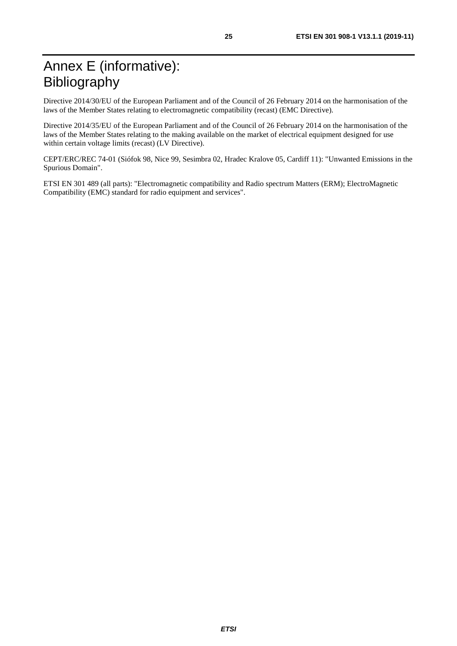<span id="page-24-0"></span>Directive 2014/30/EU of the European Parliament and of the Council of 26 February 2014 on the harmonisation of the laws of the Member States relating to electromagnetic compatibility (recast) (EMC Directive).

Directive 2014/35/EU of the European Parliament and of the Council of 26 February 2014 on the harmonisation of the laws of the Member States relating to the making available on the market of electrical equipment designed for use within certain voltage limits (recast) (LV Directive).

CEPT/ERC/REC 74-01 (Siófok 98, Nice 99, Sesimbra 02, Hradec Kralove 05, Cardiff 11): "Unwanted Emissions in the Spurious Domain".

ETSI EN 301 489 (all parts): "Electromagnetic compatibility and Radio spectrum Matters (ERM); ElectroMagnetic Compatibility (EMC) standard for radio equipment and services".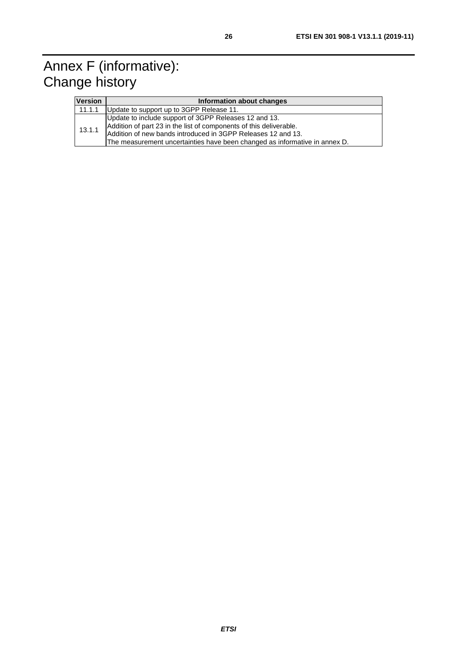# <span id="page-25-0"></span>Annex F (informative): Change history

| <b>Version</b> | Information about changes                                                                                                                                                                                                                                                 |
|----------------|---------------------------------------------------------------------------------------------------------------------------------------------------------------------------------------------------------------------------------------------------------------------------|
| 11.1.1         | Update to support up to 3GPP Release 11.                                                                                                                                                                                                                                  |
| 13.1.1         | Update to include support of 3GPP Releases 12 and 13.<br>Addition of part 23 in the list of components of this deliverable.<br>Addition of new bands introduced in 3GPP Releases 12 and 13.<br>The measurement uncertainties have been changed as informative in annex D. |